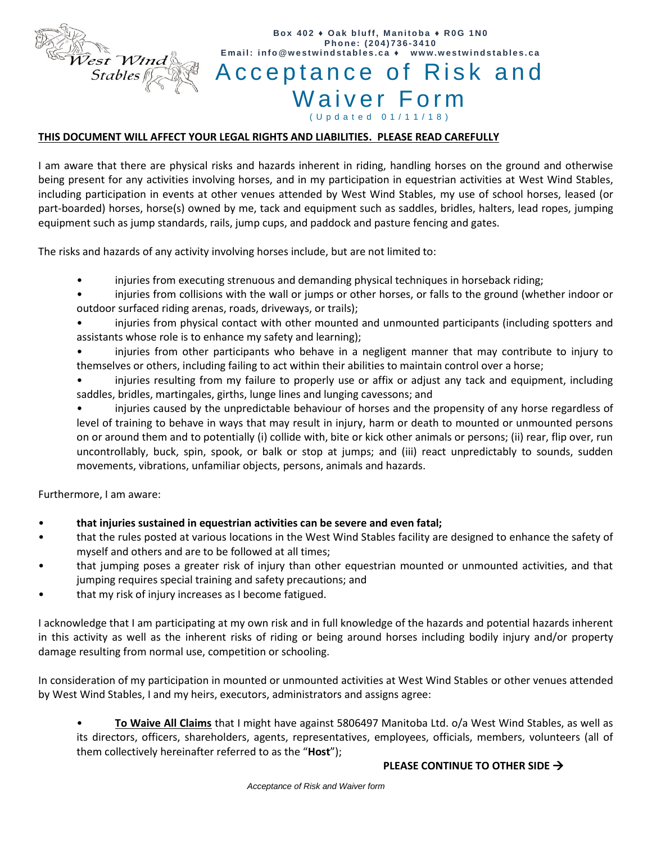

# **B o x 402 ♦ O a k b l u f f, M an i t o b a ♦ R0G 1 N0 P h o n e: ( 2 0 4 ) 736 - 3410** Email: info@westwindstables.ca + Acceptance of Risk and Waiver Form ( U p d a t e d 0 1 / 1 1 / 1 8 )

## **THIS DOCUMENT WILL AFFECT YOUR LEGAL RIGHTS AND LIABILITIES. PLEASE READ CAREFULLY**

I am aware that there are physical risks and hazards inherent in riding, handling horses on the ground and otherwise being present for any activities involving horses, and in my participation in equestrian activities at West Wind Stables, including participation in events at other venues attended by West Wind Stables, my use of school horses, leased (or part-boarded) horses, horse(s) owned by me, tack and equipment such as saddles, bridles, halters, lead ropes, jumping equipment such as jump standards, rails, jump cups, and paddock and pasture fencing and gates.

The risks and hazards of any activity involving horses include, but are not limited to:

- injuries from executing strenuous and demanding physical techniques in horseback riding;
- injuries from collisions with the wall or jumps or other horses, or falls to the ground (whether indoor or outdoor surfaced riding arenas, roads, driveways, or trails);
- injuries from physical contact with other mounted and unmounted participants (including spotters and assistants whose role is to enhance my safety and learning);
- injuries from other participants who behave in a negligent manner that may contribute to injury to themselves or others, including failing to act within their abilities to maintain control over a horse;
- injuries resulting from my failure to properly use or affix or adjust any tack and equipment, including saddles, bridles, martingales, girths, lunge lines and lunging cavessons; and
- injuries caused by the unpredictable behaviour of horses and the propensity of any horse regardless of level of training to behave in ways that may result in injury, harm or death to mounted or unmounted persons on or around them and to potentially (i) collide with, bite or kick other animals or persons; (ii) rear, flip over, run uncontrollably, buck, spin, spook, or balk or stop at jumps; and (iii) react unpredictably to sounds, sudden movements, vibrations, unfamiliar objects, persons, animals and hazards.

Furthermore, I am aware:

- **that injuries sustained in equestrian activities can be severe and even fatal;**
- that the rules posted at various locations in the West Wind Stables facility are designed to enhance the safety of myself and others and are to be followed at all times;
- that jumping poses a greater risk of injury than other equestrian mounted or unmounted activities, and that jumping requires special training and safety precautions; and
- that my risk of injury increases as I become fatigued.

I acknowledge that I am participating at my own risk and in full knowledge of the hazards and potential hazards inherent in this activity as well as the inherent risks of riding or being around horses including bodily injury and/or property damage resulting from normal use, competition or schooling.

In consideration of my participation in mounted or unmounted activities at West Wind Stables or other venues attended by West Wind Stables, I and my heirs, executors, administrators and assigns agree:

• **To Waive All Claims** that I might have against 5806497 Manitoba Ltd. o/a West Wind Stables, as well as its directors, officers, shareholders, agents, representatives, employees, officials, members, volunteers (all of them collectively hereinafter referred to as the "**Host**");

## **PLEASE CONTINUE TO OTHER SIDE**